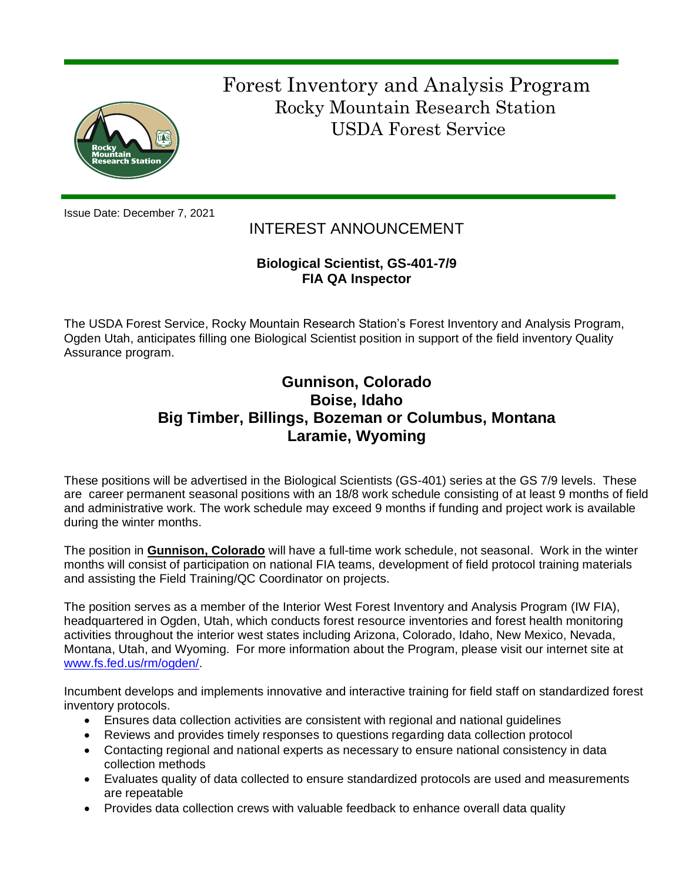

 Forest Inventory and Analysis Program Rocky Mountain Research Station USDA Forest Service

Issue Date: December 7, 2021

# INTEREST ANNOUNCEMENT

# **Biological Scientist, GS-401-7/9 FIA QA Inspector**

The USDA Forest Service, Rocky Mountain Research Station's Forest Inventory and Analysis Program, Ogden Utah, anticipates filling one Biological Scientist position in support of the field inventory Quality Assurance program.

# **Gunnison, Colorado Boise, Idaho Big Timber, Billings, Bozeman or Columbus, Montana Laramie, Wyoming**

These positions will be advertised in the Biological Scientists (GS-401) series at the GS 7/9 levels. These are career permanent seasonal positions with an 18/8 work schedule consisting of at least 9 months of field and administrative work. The work schedule may exceed 9 months if funding and project work is available during the winter months.

The position in **Gunnison, Colorado** will have a full-time work schedule, not seasonal. Work in the winter months will consist of participation on national FIA teams, development of field protocol training materials and assisting the Field Training/QC Coordinator on projects.

The position serves as a member of the Interior West Forest Inventory and Analysis Program (IW FIA), headquartered in Ogden, Utah, which conducts forest resource inventories and forest health monitoring activities throughout the interior west states including Arizona, Colorado, Idaho, New Mexico, Nevada, Montana, Utah, and Wyoming. For more information about the Program, please visit our internet site at [www.fs.fed.us/rm/ogden/.](http://www.fs.fed.us/rm/ogden/)

Incumbent develops and implements innovative and interactive training for field staff on standardized forest inventory protocols.

- Ensures data collection activities are consistent with regional and national guidelines
- Reviews and provides timely responses to questions regarding data collection protocol
- Contacting regional and national experts as necessary to ensure national consistency in data collection methods
- Evaluates quality of data collected to ensure standardized protocols are used and measurements are repeatable
- Provides data collection crews with valuable feedback to enhance overall data quality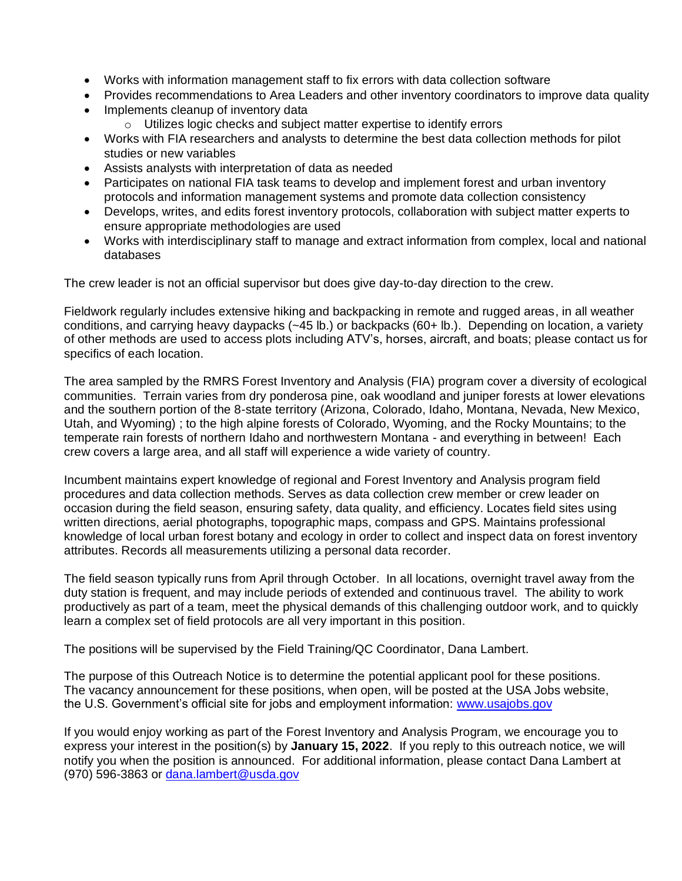- Works with information management staff to fix errors with data collection software
- Provides recommendations to Area Leaders and other inventory coordinators to improve data quality
- Implements cleanup of inventory data
	- o Utilizes logic checks and subject matter expertise to identify errors
- Works with FIA researchers and analysts to determine the best data collection methods for pilot studies or new variables
- Assists analysts with interpretation of data as needed
- Participates on national FIA task teams to develop and implement forest and urban inventory protocols and information management systems and promote data collection consistency
- Develops, writes, and edits forest inventory protocols, collaboration with subject matter experts to ensure appropriate methodologies are used
- Works with interdisciplinary staff to manage and extract information from complex, local and national databases

The crew leader is not an official supervisor but does give day-to-day direction to the crew.

Fieldwork regularly includes extensive hiking and backpacking in remote and rugged areas, in all weather conditions, and carrying heavy daypacks (~45 lb.) or backpacks (60+ lb.). Depending on location, a variety of other methods are used to access plots including ATV's, horses, aircraft, and boats; please contact us for specifics of each location.

The area sampled by the RMRS Forest Inventory and Analysis (FIA) program cover a diversity of ecological communities. Terrain varies from dry ponderosa pine, oak woodland and juniper forests at lower elevations and the southern portion of the 8-state territory (Arizona, Colorado, Idaho, Montana, Nevada, New Mexico, Utah, and Wyoming) ; to the high alpine forests of Colorado, Wyoming, and the Rocky Mountains; to the temperate rain forests of northern Idaho and northwestern Montana - and everything in between! Each crew covers a large area, and all staff will experience a wide variety of country.

Incumbent maintains expert knowledge of regional and Forest Inventory and Analysis program field procedures and data collection methods. Serves as data collection crew member or crew leader on occasion during the field season, ensuring safety, data quality, and efficiency. Locates field sites using written directions, aerial photographs, topographic maps, compass and GPS. Maintains professional knowledge of local urban forest botany and ecology in order to collect and inspect data on forest inventory attributes. Records all measurements utilizing a personal data recorder.

The field season typically runs from April through October. In all locations, overnight travel away from the duty station is frequent, and may include periods of extended and continuous travel. The ability to work productively as part of a team, meet the physical demands of this challenging outdoor work, and to quickly learn a complex set of field protocols are all very important in this position.

The positions will be supervised by the Field Training/QC Coordinator, Dana Lambert.

The purpose of this Outreach Notice is to determine the potential applicant pool for these positions. The vacancy announcement for these positions, when open, will be posted at the USA Jobs website, the U.S. Government's official site for jobs and employment information: [www.usajobs.gov](http://www.usajobs.gov/)

If you would enjoy working as part of the Forest Inventory and Analysis Program, we encourage you to express your interest in the position(s) by **January 15, 2022**. If you reply to this outreach notice, we will notify you when the position is announced. For additional information, please contact Dana Lambert at (970) 596-3863 or [dana.lambert@usda.gov](mailto:dana.lambert@usda.gov)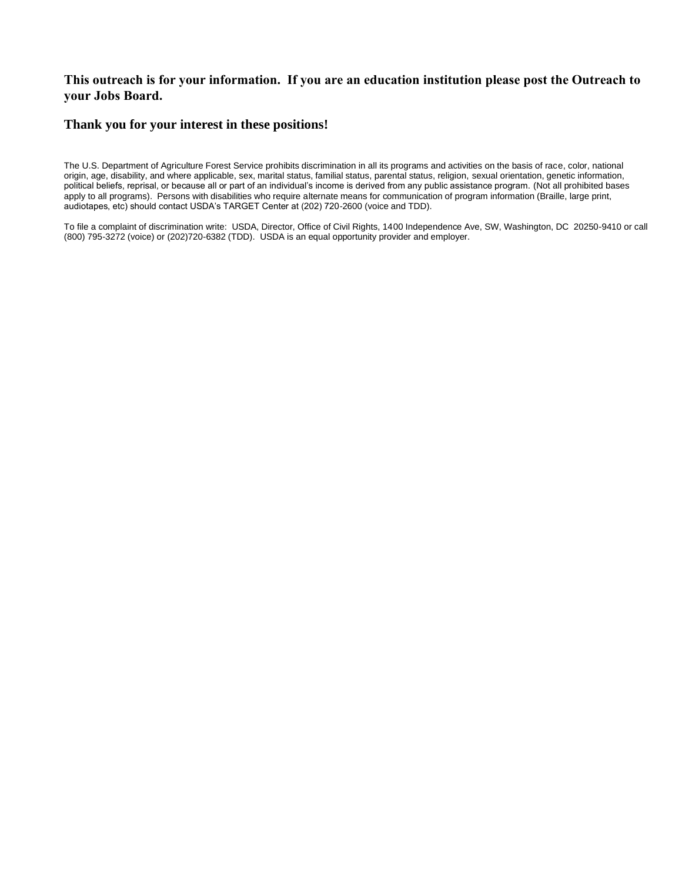#### **This outreach is for your information. If you are an education institution please post the Outreach to your Jobs Board.**

#### **Thank you for your interest in these positions!**

The U.S. Department of Agriculture Forest Service prohibits discrimination in all its programs and activities on the basis of race, color, national origin, age, disability, and where applicable, sex, marital status, familial status, parental status, religion, sexual orientation, genetic information, political beliefs, reprisal, or because all or part of an individual's income is derived from any public assistance program. (Not all prohibited bases apply to all programs). Persons with disabilities who require alternate means for communication of program information (Braille, large print, audiotapes, etc) should contact USDA's TARGET Center at (202) 720-2600 (voice and TDD).

To file a complaint of discrimination write: USDA, Director, Office of Civil Rights, 1400 Independence Ave, SW, Washington, DC 20250-9410 or call (800) 795-3272 (voice) or (202)720-6382 (TDD). USDA is an equal opportunity provider and employer.